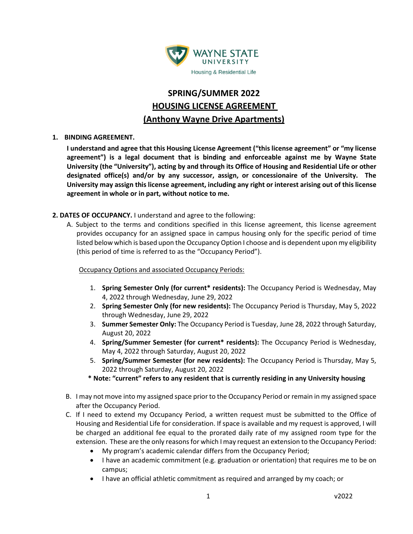

# **SPRING/SUMMER 2022 HOUSING LICENSE AGREEMENT (Anthony Wayne Drive Apartments)**

## **1. BINDING AGREEMENT.**

**I understand and agree that this Housing License Agreement ("thislicense agreement" or "my license agreement") is a legal document that is binding and enforceable against me by Wayne State University (the "University"), acting by and through its Office of Housing and Residential Life or other designated office(s) and/or by any successor, assign, or concessionaire of the University. The University may assign this license agreement, including any right or interest arising out of this license agreement in whole or in part, without notice to me.**

#### **2. DATES OF OCCUPANCY.** I understand and agree to the following:

A. Subject to the terms and conditions specified in this license agreement, this license agreement provides occupancy for an assigned space in campus housing only for the specific period of time listed below which is based upon the Occupancy Option I choose and is dependent upon my eligibility (this period of time is referred to as the "Occupancy Period").

Occupancy Options and associated Occupancy Periods:

- 1. **Spring Semester Only (for current\* residents):** The Occupancy Period is Wednesday, May 4, 2022 through Wednesday, June 29, 2022
- 2. **Spring Semester Only (for new residents):** The Occupancy Period is Thursday, May 5, 2022 through Wednesday, June 29, 2022
- 3. **Summer Semester Only:** The Occupancy Period is Tuesday, June 28, 2022 through Saturday, August 20, 2022
- 4. **Spring/Summer Semester (for current\* residents):** The Occupancy Period is Wednesday, May 4, 2022 through Saturday, August 20, 2022
- 5. **Spring/Summer Semester (for new residents):** The Occupancy Period is Thursday, May 5, 2022 through Saturday, August 20, 2022
- **\* Note: "current" refers to any resident that is currently residing in any University housing**
- B. I may not move into my assigned space prior to the Occupancy Period or remain in my assigned space after the Occupancy Period.
- C. If I need to extend my Occupancy Period, a written request must be submitted to the Office of Housing and Residential Life for consideration. If space is available and my request is approved, I will be charged an additional fee equal to the prorated daily rate of my assigned room type for the extension. These are the only reasons for which I may request an extension to the Occupancy Period:
	- My program's academic calendar differs from the Occupancy Period;
	- I have an academic commitment (e.g. graduation or orientation) that requires me to be on campus;
	- I have an official athletic commitment as required and arranged by my coach; or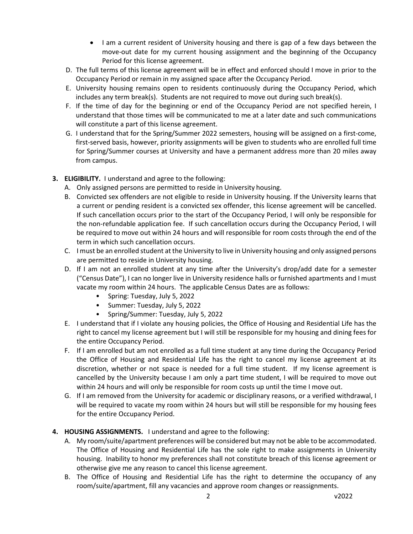- I am a current resident of University housing and there is gap of a few days between the move-out date for my current housing assignment and the beginning of the Occupancy Period for this license agreement.
- D. The full terms of this license agreement will be in effect and enforced should I move in prior to the Occupancy Period or remain in my assigned space after the Occupancy Period.
- E. University housing remains open to residents continuously during the Occupancy Period, which includes any term break(s). Students are not required to move out during such break(s).
- F. If the time of day for the beginning or end of the Occupancy Period are not specified herein, I understand that those times will be communicated to me at a later date and such communications will constitute a part of this license agreement.
- G. I understand that for the Spring/Summer 2022 semesters, housing will be assigned on a first-come, first-served basis, however, priority assignments will be given to students who are enrolled full time for Spring/Summer courses at University and have a permanent address more than 20 miles away from campus.
- **3. ELIGIBILITY.** I understand and agree to the following:
	- A. Only assigned persons are permitted to reside in University housing.
	- B. Convicted sex offenders are not eligible to reside in University housing. If the University learns that a current or pending resident is a convicted sex offender, this license agreement will be cancelled. If such cancellation occurs prior to the start of the Occupancy Period, I will only be responsible for the non-refundable application fee. If such cancellation occurs during the Occupancy Period, I will be required to move out within 24 hours and will responsible for room costs through the end of the term in which such cancellation occurs.
	- C. I must be an enrolled student at the University to live in University housing and only assigned persons are permitted to reside in University housing.
	- D. If I am not an enrolled student at any time after the University's drop/add date for a semester ("Census Date"), I can no longer live in University residence halls or furnished apartments and I must vacate my room within 24 hours. The applicable Census Dates are as follows:
		- Spring: Tuesday, July 5, 2022
		- Summer: Tuesday, July 5, 2022
		- Spring/Summer: Tuesday, July 5, 2022
	- E. I understand that if I violate any housing policies, the Office of Housing and Residential Life has the right to cancel my license agreement but I will still be responsible for my housing and dining fees for the entire Occupancy Period.
	- F. If I am enrolled but am not enrolled as a full time student at any time during the Occupancy Period the Office of Housing and Residential Life has the right to cancel my license agreement at its discretion, whether or not space is needed for a full time student. If my license agreement is cancelled by the University because I am only a part time student, I will be required to move out within 24 hours and will only be responsible for room costs up until the time I move out.
	- G. If I am removed from the University for academic or disciplinary reasons, or a verified withdrawal, I will be required to vacate my room within 24 hours but will still be responsible for my housing fees for the entire Occupancy Period.
- **4. HOUSING ASSIGNMENTS.** I understand and agree to the following:
	- A. My room/suite/apartment preferences will be considered but may not be able to be accommodated. The Office of Housing and Residential Life has the sole right to make assignments in University housing. Inability to honor my preferences shall not constitute breach of this license agreement or otherwise give me any reason to cancel this license agreement.
	- B. The Office of Housing and Residential Life has the right to determine the occupancy of any room/suite/apartment, fill any vacancies and approve room changes or reassignments.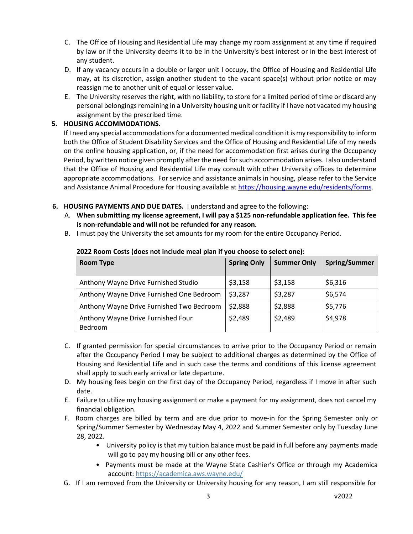- C. The Office of Housing and Residential Life may change my room assignment at any time if required by law or if the University deems it to be in the University's best interest or in the best interest of any student.
- D. If any vacancy occurs in a double or larger unit I occupy, the Office of Housing and Residential Life may, at its discretion, assign another student to the vacant space(s) without prior notice or may reassign me to another unit of equal or lesser value.
- E. The University reserves the right, with no liability, to store for a limited period of time or discard any personal belongings remaining in a University housing unit or facility if I have not vacated my housing assignment by the prescribed time.

# **5. HOUSING ACCOMMODATIONS.**

If I need any special accommodations for a documented medical condition it is my responsibility to inform both the Office of Student Disability Services and the Office of Housing and Residential Life of my needs on the online housing application, or, if the need for accommodation first arises during the Occupancy Period, by written notice given promptly after the need for such accommodation arises. I also understand that the Office of Housing and Residential Life may consult with other University offices to determine appropriate accommodations. For service and assistance animals in housing, please refer to the Service and Assistance Animal Procedure for Housing available at [https://housing.wayne.edu/residents/forms.](https://housing.wayne.edu/residents/forms)

- **6. HOUSING PAYMENTS AND DUE DATES.** I understand and agree to the following:
	- A. **When submitting my license agreement, I will pay a \$125 non-refundable application fee. This fee is non-refundable and will not be refunded for any reason.**
	- B. I must pay the University the set amounts for my room for the entire Occupancy Period.

| <b>Room Type</b>                              | <b>Spring Only</b> | <b>Summer Only</b> | <b>Spring/Summer</b> |
|-----------------------------------------------|--------------------|--------------------|----------------------|
| Anthony Wayne Drive Furnished Studio          | \$3,158            | \$3,158            | \$6,316              |
| Anthony Wayne Drive Furnished One Bedroom     | \$3,287            | \$3,287            | \$6,574              |
| Anthony Wayne Drive Furnished Two Bedroom     | \$2,888            | \$2,888            | \$5,776              |
| Anthony Wayne Drive Furnished Four<br>Bedroom | \$2,489            | \$2,489            | \$4,978              |

#### **2022 Room Costs (does not include meal plan if you choose to select one):**

- C. If granted permission for special circumstances to arrive prior to the Occupancy Period or remain after the Occupancy Period I may be subject to additional charges as determined by the Office of Housing and Residential Life and in such case the terms and conditions of this license agreement shall apply to such early arrival or late departure.
- D. My housing fees begin on the first day of the Occupancy Period, regardless if I move in after such date.
- E. Failure to utilize my housing assignment or make a payment for my assignment, does not cancel my financial obligation.
- F. Room charges are billed by term and are due prior to move-in for the Spring Semester only or Spring/Summer Semester by Wednesday May 4, 2022 and Summer Semester only by Tuesday June 28, 2022.
	- University policy is that my tuition balance must be paid in full before any payments made will go to pay my housing bill or any other fees.
	- Payments must be made at the Wayne State Cashier's Office or through my Academica account: <https://academica.aws.wayne.edu/>
- G. If I am removed from the University or University housing for any reason, I am still responsible for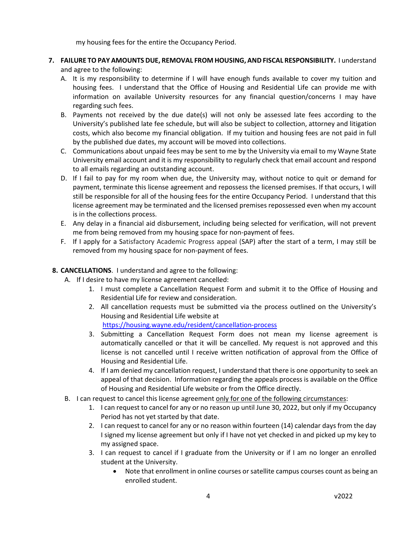my housing fees for the entire the Occupancy Period.

- **7. FAILURE TO PAY AMOUNTS DUE, REMOVAL FROM HOUSING, AND FISCAL RESPONSIBILITY.** I understand and agree to the following:
	- A. It is my responsibility to determine if I will have enough funds available to cover my tuition and housing fees. I understand that the Office of Housing and Residential Life can provide me with information on available University resources for any financial question/concerns I may have regarding such fees.
	- B. Payments not received by the due date(s) will not only be assessed late fees according to the University's published late fee schedule, but will also be subject to collection, attorney and litigation costs, which also become my financial obligation. If my tuition and housing fees are not paid in full by the published due dates, my account will be moved into collections.
	- C. Communications about unpaid fees may be sent to me by the University via email to my Wayne State University email account and it is my responsibility to regularly check that email account and respond to all emails regarding an outstanding account.
	- D. If I fail to pay for my room when due, the University may, without notice to quit or demand for payment, terminate this license agreement and repossess the licensed premises. If that occurs, I will still be responsible for all of the housing fees for the entire Occupancy Period. I understand that this license agreement may be terminated and the licensed premises repossessed even when my account is in the collections process.
	- E. Any delay in a financial aid disbursement, including being selected for verification, will not prevent me from being removed from my housing space for non-payment of fees.
	- F. If I apply for a Satisfactory Academic Progress appeal (SAP) after the start of a term, I may still be removed from my housing space for non-payment of fees.

# **8. CANCELLATIONS**. I understand and agree to the following:

- A. If I desire to have my license agreement cancelled:
	- 1. I must complete a Cancellation Request Form and submit it to the Office of Housing and Residential Life for review and consideration.
	- 2. All cancellation requests must be submitted via the process outlined on the University's Housing and Residential Life website at <https://housing.wayne.edu/resident/cancellation-process>
	- 3. Submitting a Cancellation Request Form does not mean my license agreement is automatically cancelled or that it will be cancelled. My request is not approved and this license is not cancelled until I receive written notification of approval from the Office of Housing and Residential Life.
	- 4. If I am denied my cancellation request, I understand that there is one opportunity to seek an appeal of that decision. Information regarding the appeals process is available on the Office of Housing and Residential Life website or from the Office directly.
- B. I can request to cancel this license agreement only for one of the following circumstances:
	- 1. I can request to cancel for any or no reason up until June 30, 2022, but only if my Occupancy Period has not yet started by that date.
	- 2. I can request to cancel for any or no reason within fourteen (14) calendar days from the day I signed my license agreement but only if I have not yet checked in and picked up my key to my assigned space.
	- 3. I can request to cancel if I graduate from the University or if I am no longer an enrolled student at the University.
		- Note that enrollment in online courses or satellite campus courses count as being an enrolled student.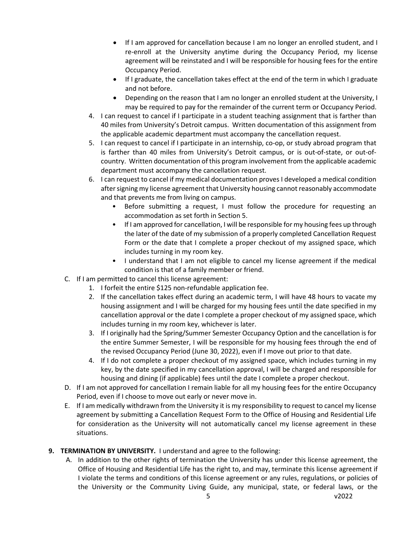- If I am approved for cancellation because I am no longer an enrolled student, and I re-enroll at the University anytime during the Occupancy Period, my license agreement will be reinstated and I will be responsible for housing fees for the entire Occupancy Period.
- If I graduate, the cancellation takes effect at the end of the term in which I graduate and not before.
- Depending on the reason that I am no longer an enrolled student at the University, I may be required to pay for the remainder of the current term or Occupancy Period.
- 4. I can request to cancel if I participate in a student teaching assignment that is farther than 40 miles from University's Detroit campus. Written documentation of this assignment from the applicable academic department must accompany the cancellation request.
- 5. I can request to cancel if I participate in an internship, co-op, or study abroad program that is farther than 40 miles from University's Detroit campus, or is out-of-state, or out-ofcountry. Written documentation of this program involvement from the applicable academic department must accompany the cancellation request.
- 6. I can request to cancel if my medical documentation proves I developed a medical condition after signing my license agreement that University housing cannot reasonably accommodate and that prevents me from living on campus.
	- Before submitting a request, I must follow the procedure for requesting an accommodation as set forth in Section 5.
	- If I am approved for cancellation, I will be responsible for my housing fees up through the later of the date of my submission of a properly completed Cancellation Request Form or the date that I complete a proper checkout of my assigned space, which includes turning in my room key.
	- I understand that I am not eligible to cancel my license agreement if the medical condition is that of a family member or friend.
- C. If I am permitted to cancel this license agreement:
	- 1. I forfeit the entire \$125 non-refundable application fee.
	- 2. If the cancellation takes effect during an academic term, I will have 48 hours to vacate my housing assignment and I will be charged for my housing fees until the date specified in my cancellation approval or the date I complete a proper checkout of my assigned space, which includes turning in my room key, whichever is later.
	- 3. If I originally had the Spring/Summer Semester Occupancy Option and the cancellation is for the entire Summer Semester, I will be responsible for my housing fees through the end of the revised Occupancy Period (June 30, 2022), even if I move out prior to that date.
	- 4. If I do not complete a proper checkout of my assigned space, which includes turning in my key, by the date specified in my cancellation approval, I will be charged and responsible for housing and dining (if applicable) fees until the date I complete a proper checkout.
- D. If I am not approved for cancellation I remain liable for all my housing fees for the entire Occupancy Period, even if I choose to move out early or never move in.
- E. If I am medically withdrawn from the University it is my responsibility to request to cancel my license agreement by submitting a Cancellation Request Form to the Office of Housing and Residential Life for consideration as the University will not automatically cancel my license agreement in these situations.
- **9. TERMINATION BY UNIVERSITY.** I understand and agree to the following:
	- A. In addition to the other rights of termination the University has under this license agreement, the Office of Housing and Residential Life has the right to, and may, terminate this license agreement if I violate the terms and conditions of this license agreement or any rules, regulations, or policies of the University or the Community Living Guide, any municipal, state, or federal laws, or the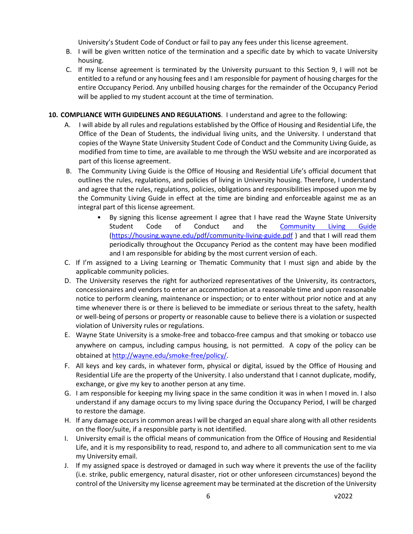University's Student Code of Conduct or fail to pay any fees under this license agreement.

- B. I will be given written notice of the termination and a specific date by which to vacate University housing.
- C. If my license agreement is terminated by the University pursuant to this Section 9, I will not be entitled to a refund or any housing fees and I am responsible for payment of housing charges for the entire Occupancy Period. Any unbilled housing charges for the remainder of the Occupancy Period will be applied to my student account at the time of termination.

## **10. COMPLIANCE WITH GUIDELINES AND REGULATIONS**. I understand and agree to the following:

- A. I will abide by all rules and regulations established by the Office of Housing and Residential Life, the Office of the Dean of Students, the individual living units, and the University. I understand that copies of the Wayne State University Student Code of Conduct and the Community Living Guide, as modified from time to time, are available to me through the WSU website and are incorporated as part of this license agreement.
- B. The Community Living Guide is the Office of Housing and Residential Life's official document that outlines the rules, regulations, and policies of living in University housing. Therefore, I understand and agree that the rules, regulations, policies, obligations and responsibilities imposed upon me by the Community Living Guide in effect at the time are binding and enforceable against me as an integral part of this license agreement.
	- By signing this license agreement I agree that I have read the Wayne State University Student Code of Conduct and the [Community Living Guide](https://housing.wayne.edu/pdf/community-living-guide.pdf) [\(https://housing.wayne.edu/pdf/community-living-guide.pdf](https://housing.wayne.edu/pdf/community-living-guide.pdf) ) and that I will read them periodically throughout the Occupancy Period as the content may have been modified and I am responsible for abiding by the most current version of each.
- C. If I'm assigned to a Living Learning or Thematic Community that I must sign and abide by the applicable community policies.
- D. The University reserves the right for authorized representatives of the University, its contractors, concessionaires and vendors to enter an accommodation at a reasonable time and upon reasonable notice to perform cleaning, maintenance or inspection; or to enter without prior notice and at any time whenever there is or there is believed to be immediate or serious threat to the safety, health or well-being of persons or property or reasonable cause to believe there is a violation or suspected violation of University rules or regulations.
- E. Wayne State University is a smoke-free and tobacco-free campus and that smoking or tobacco use anywhere on campus, including campus housing, is not permitted. A copy of the policy can be obtained a[t http://wayne.edu/smoke-free/policy/.](http://wayne.edu/smoke-free/policy/)
- F. All keys and key cards, in whatever form, physical or digital, issued by the Office of Housing and Residential Life are the property of the University. I also understand that I cannot duplicate, modify, exchange, or give my key to another person at any time.
- G. I am responsible for keeping my living space in the same condition it was in when I moved in. I also understand if any damage occurs to my living space during the Occupancy Period, I will be charged to restore the damage.
- H. If any damage occurs in common areas I will be charged an equal share along with all other residents on the floor/suite, if a responsible party is not identified.
- I. University email is the official means of communication from the Office of Housing and Residential Life, and it is my responsibility to read, respond to, and adhere to all communication sent to me via my University email.
- J. If my assigned space is destroyed or damaged in such way where it prevents the use of the facility (i.e. strike, public emergency, natural disaster, riot or other unforeseen circumstances) beyond the control of the University my license agreement may be terminated at the discretion of the University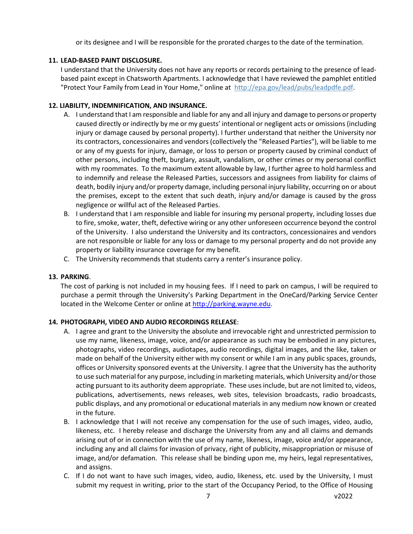or its designee and I will be responsible for the prorated charges to the date of the termination.

### **11. LEAD-BASED PAINT DISCLOSURE.**

I understand that the University does not have any reports or records pertaining to the presence of leadbased paint except in Chatsworth Apartments. I acknowledge that I have reviewed the pamphlet entitled "Protect Your Family from Lead in Your Home," online at [http://epa.gov/lead/pubs/leadpdfe.pdf.](http://epa.gov/lead/pubs/leadpdfe.pdf)

## **12. LIABILITY, INDEMNIFICATION, AND INSURANCE.**

- A. I understand that I am responsible and liable for any and all injury and damage to persons or property caused directly or indirectly by me or my guests' intentional or negligent acts or omissions (including injury or damage caused by personal property). I further understand that neither the University nor its contractors, concessionaires and vendors (collectively the "Released Parties"), will be liable to me or any of my guests for injury, damage, or loss to person or property caused by criminal conduct of other persons, including theft, burglary, assault, vandalism, or other crimes or my personal conflict with my roommates. To the maximum extent allowable by law, I further agree to hold harmless and to indemnify and release the Released Parties, successors and assignees from liability for claims of death, bodily injury and/or property damage, including personal injury liability, occurring on or about the premises, except to the extent that such death, injury and/or damage is caused by the gross negligence or willful act of the Released Parties.
- B. I understand that I am responsible and liable for insuring my personal property, including losses due to fire, smoke, water, theft, defective wiring or any other unforeseen occurrence beyond the control of the University. I also understand the University and its contractors, concessionaires and vendors are not responsible or liable for any loss or damage to my personal property and do not provide any property or liability insurance coverage for my benefit.
- C. The University recommends that students carry a renter's insurance policy.

#### **13. PARKING**.

The cost of parking is not included in my housing fees. If I need to park on campus, I will be required to purchase a permit through the University's Parking Department in the OneCard/Parking Service Center located in the Welcome Center or online a[t http://parking.wayne.edu.](http://parking.wayne.edu/)

## **14. PHOTOGRAPH, VIDEO AND AUDIO RECORDINGS RELEASE**:

- A. I agree and grant to the University the absolute and irrevocable right and unrestricted permission to use my name, likeness, image, voice, and/or appearance as such may be embodied in any pictures, photographs, video recordings, audiotapes, audio recordings, digital images, and the like, taken or made on behalf of the University either with my consent or while I am in any public spaces, grounds, offices or University sponsored events at the University. I agree that the University has the authority to use such material for any purpose, including in marketing materials, which University and/or those acting pursuant to its authority deem appropriate. These uses include, but are not limited to, videos, publications, advertisements, news releases, web sites, television broadcasts, radio broadcasts, public displays, and any promotional or educational materials in any medium now known or created in the future.
- B. I acknowledge that I will not receive any compensation for the use of such images, video, audio, likeness, etc. I hereby release and discharge the University from any and all claims and demands arising out of or in connection with the use of my name, likeness, image, voice and/or appearance, including any and all claims for invasion of privacy, right of publicity, misappropriation or misuse of image, and/or defamation. This release shall be binding upon me, my heirs, legal representatives, and assigns.
- C. If I do not want to have such images, video, audio, likeness, etc. used by the University, I must submit my request in writing, prior to the start of the Occupancy Period, to the Office of Housing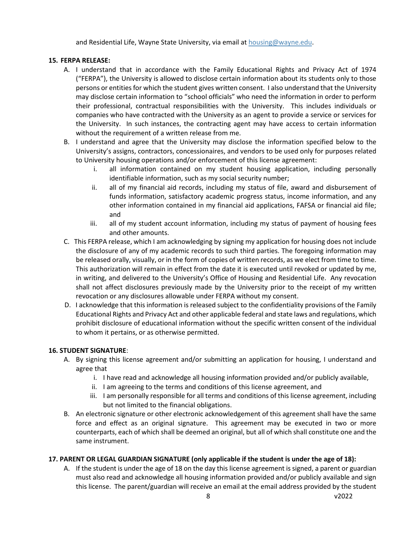and Residential Life, Wayne State University, via email a[t housing@wayne.edu.](mailto:housing@wayne.edu)

#### **15. FERPA RELEASE:**

- A. I understand that in accordance with the Family Educational Rights and Privacy Act of 1974 ("FERPA"), the University is allowed to disclose certain information about its students only to those persons or entities for which the student gives written consent. I also understand that the University may disclose certain information to "school officials" who need the information in order to perform their professional, contractual responsibilities with the University. This includes individuals or companies who have contracted with the University as an agent to provide a service or services for the University. In such instances, the contracting agent may have access to certain information without the requirement of a written release from me.
- B. I understand and agree that the University may disclose the information specified below to the University's assigns, contractors, concessionaires, and vendors to be used only for purposes related to University housing operations and/or enforcement of this license agreement:
	- i. all information contained on my student housing application, including personally identifiable information, such as my social security number;
	- ii. all of my financial aid records, including my status of file, award and disbursement of funds information, satisfactory academic progress status, income information, and any other information contained in my financial aid applications, FAFSA or financial aid file; and
	- iii. all of my student account information, including my status of payment of housing fees and other amounts.
- C. This FERPA release, which I am acknowledging by signing my application for housing does not include the disclosure of any of my academic records to such third parties. The foregoing information may be released orally, visually, or in the form of copies of written records, as we elect from time to time. This authorization will remain in effect from the date it is executed until revoked or updated by me, in writing, and delivered to the University's Office of Housing and Residential Life. Any revocation shall not affect disclosures previously made by the University prior to the receipt of my written revocation or any disclosures allowable under FERPA without my consent.
- D. I acknowledge that this information is released subject to the confidentiality provisions of the Family Educational Rights and Privacy Act and other applicable federal and state laws and regulations, which prohibit disclosure of educational information without the specific written consent of the individual to whom it pertains, or as otherwise permitted.

## **16. STUDENT SIGNATURE**:

- A. By signing this license agreement and/or submitting an application for housing, I understand and agree that
	- i. I have read and acknowledge all housing information provided and/or publicly available,
	- ii. I am agreeing to the terms and conditions of this license agreement, and
	- iii. I am personally responsible for all terms and conditions of this license agreement, including but not limited to the financial obligations.
- B. An electronic signature or other electronic acknowledgement of this agreement shall have the same force and effect as an original signature. This agreement may be executed in two or more counterparts, each of which shall be deemed an original, but all of which shall constitute one and the same instrument.

## **17. PARENT OR LEGAL GUARDIAN SIGNATURE (only applicable if the student is under the age of 18):**

A. If the student is under the age of 18 on the day this license agreement is signed, a parent or guardian must also read and acknowledge all housing information provided and/or publicly available and sign this license. The parent/guardian will receive an email at the email address provided by the student